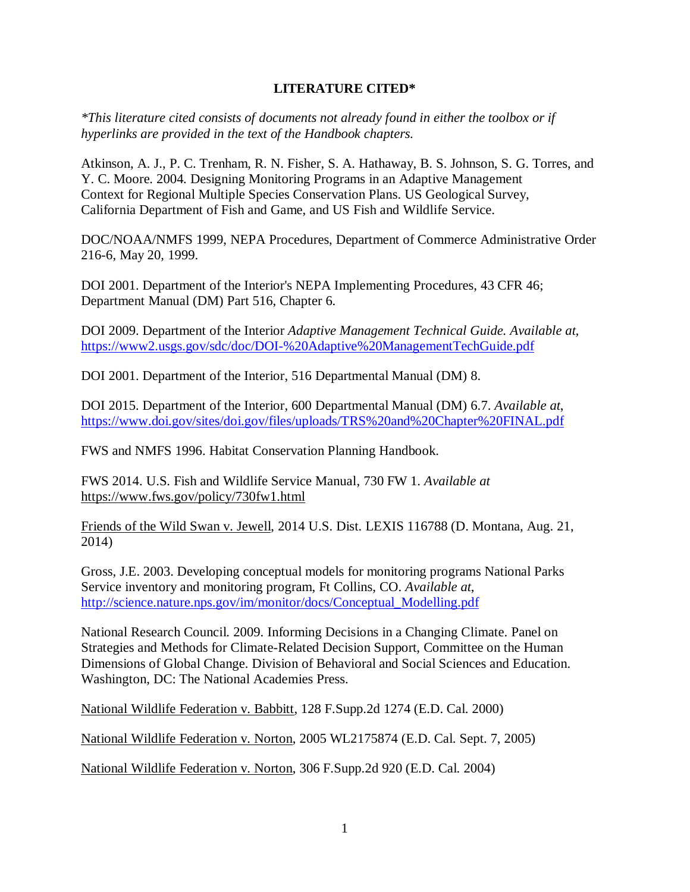## **LITERATURE CITED\***

*\*This literature cited consists of documents not already found in either the toolbox or if hyperlinks are provided in the text of the Handbook chapters.*

Atkinson, A. J., P. C. Trenham, R. N. Fisher, S. A. Hathaway, B. S. Johnson, S. G. Torres, and Y. C. Moore. 2004. Designing Monitoring Programs in an Adaptive Management Context for Regional Multiple Species Conservation Plans. US Geological Survey, California Department of Fish and Game, and US Fish and Wildlife Service.

DOC/NOAA/NMFS 1999, NEPA Procedures, Department of Commerce Administrative Order 216-6, May 20, 1999.

DOI 2001. Department of the Interior's NEPA Implementing Procedures, 43 CFR 46; Department Manual (DM) Part 516, Chapter 6.

DOI 2009. Department of the Interior *Adaptive Management Technical Guide. Available at,* <https://www2.usgs.gov/sdc/doc/DOI-%20Adaptive%20ManagementTechGuide.pdf>

DOI 2001. Department of the Interior, 516 Departmental Manual (DM) 8.

DOI 2015. Department of the Interior, 600 Departmental Manual (DM) 6.7. *Available at*, <https://www.doi.gov/sites/doi.gov/files/uploads/TRS%20and%20Chapter%20FINAL.pdf>

FWS and NMFS 1996. Habitat Conservation Planning Handbook.

FWS 2014. U.S. Fish and Wildlife Service Manual, 730 FW 1. *Available at* <https://www.fws.gov/policy/730fw1.html>

Friends of the Wild Swan v. Jewell, 2014 U.S. Dist. LEXIS 116788 (D. Montana, Aug. 21, 2014)

Gross, J.E. 2003. Developing conceptual models for monitoring programs National Parks Service inventory and monitoring program, Ft Collins, CO. *Available at*, [http://science.nature.nps.gov/im/monitor/docs/Conceptual\\_Modelling.pdf](http://science.nature.nps.gov/im/monitor/docs/Conceptual_Modelling.pdf)

National Research Council. 2009. Informing Decisions in a Changing Climate. Panel on Strategies and Methods for Climate-Related Decision Support, Committee on the Human Dimensions of Global Change. Division of Behavioral and Social Sciences and Education. Washington, DC: The National Academies Press.

National Wildlife Federation v. Babbitt, 128 F.Supp.2d 1274 (E.D. Cal. 2000)

National Wildlife Federation v. Norton, 2005 WL2175874 (E.D. Cal. Sept. 7, 2005)

National Wildlife Federation v. Norton, 306 F.Supp.2d 920 (E.D. Cal. 2004)